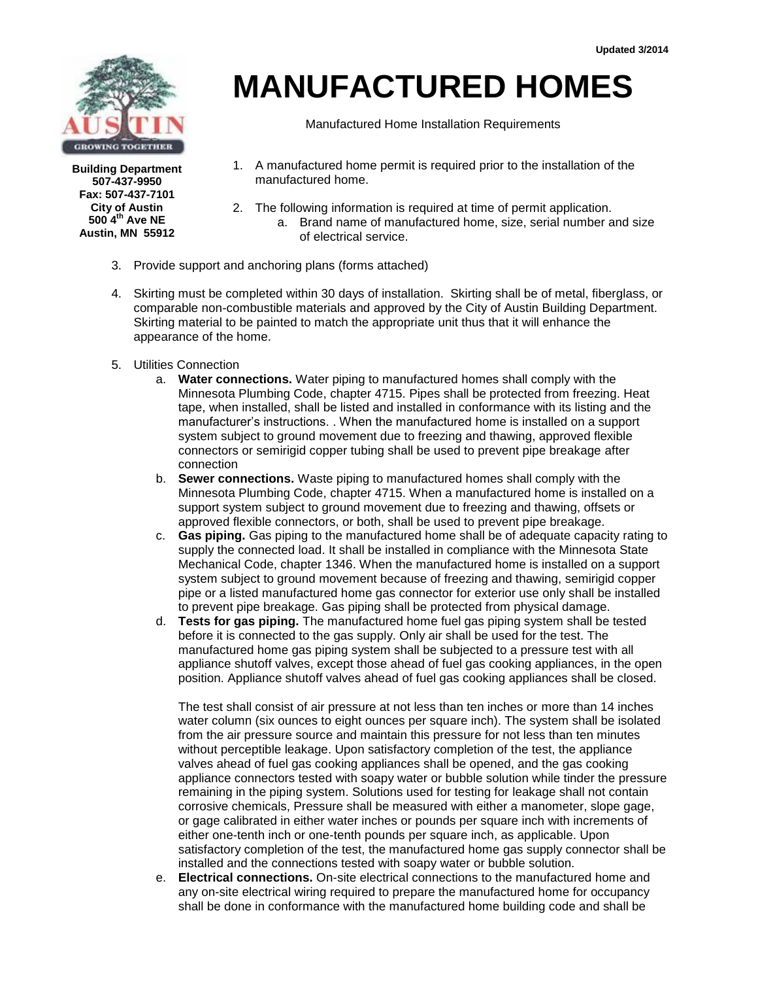

**Building Department 507-437-9950 Fax: 507-437-7101 City of Austin 500 4th Ave NE Austin, MN 55912**

# **MANUFACTURED HOMES**

Manufactured Home Installation Requirements

- 1. A manufactured home permit is required prior to the installation of the manufactured home.
- 2. The following information is required at time of permit application. a. Brand name of manufactured home, size, serial number and size of electrical service.
- 3. Provide support and anchoring plans (forms attached)
- 4. Skirting must be completed within 30 days of installation. Skirting shall be of metal, fiberglass, or comparable non-combustible materials and approved by the City of Austin Building Department. Skirting material to be painted to match the appropriate unit thus that it will enhance the appearance of the home.
- 5. Utilities Connection
	- a. **Water connections.** Water piping to manufactured homes shall comply with the Minnesota Plumbing Code, chapter 4715. Pipes shall be protected from freezing. Heat tape, when installed, shall be listed and installed in conformance with its listing and the manufacturer's instructions. . When the manufactured home is installed on a support system subject to ground movement due to freezing and thawing, approved flexible connectors or semirigid copper tubing shall be used to prevent pipe breakage after connection
	- b. **Sewer connections.** Waste piping to manufactured homes shall comply with the Minnesota Plumbing Code, chapter 4715. When a manufactured home is installed on a support system subject to ground movement due to freezing and thawing, offsets or approved flexible connectors, or both, shall be used to prevent pipe breakage.
	- c. **Gas piping.** Gas piping to the manufactured home shall be of adequate capacity rating to supply the connected load. It shall be installed in compliance with the Minnesota State Mechanical Code, chapter 1346. When the manufactured home is installed on a support system subject to ground movement because of freezing and thawing, semirigid copper pipe or a listed manufactured home gas connector for exterior use only shall be installed to prevent pipe breakage. Gas piping shall be protected from physical damage.
	- d. **Tests for gas piping.** The manufactured home fuel gas piping system shall be tested before it is connected to the gas supply. Only air shall be used for the test. The manufactured home gas piping system shall be subjected to a pressure test with all appliance shutoff valves, except those ahead of fuel gas cooking appliances, in the open position. Appliance shutoff valves ahead of fuel gas cooking appliances shall be closed.

The test shall consist of air pressure at not less than ten inches or more than 14 inches water column (six ounces to eight ounces per square inch). The system shall be isolated from the air pressure source and maintain this pressure for not less than ten minutes without perceptible leakage. Upon satisfactory completion of the test, the appliance valves ahead of fuel gas cooking appliances shall be opened, and the gas cooking appliance connectors tested with soapy water or bubble solution while tinder the pressure remaining in the piping system. Solutions used for testing for leakage shall not contain corrosive chemicals, Pressure shall be measured with either a manometer, slope gage, or gage calibrated in either water inches or pounds per square inch with increments of either one-tenth inch or one-tenth pounds per square inch, as applicable. Upon satisfactory completion of the test, the manufactured home gas supply connector shall be installed and the connections tested with soapy water or bubble solution.

e. **Electrical connections.** On-site electrical connections to the manufactured home and any on-site electrical wiring required to prepare the manufactured home for occupancy shall be done in conformance with the manufactured home building code and shall be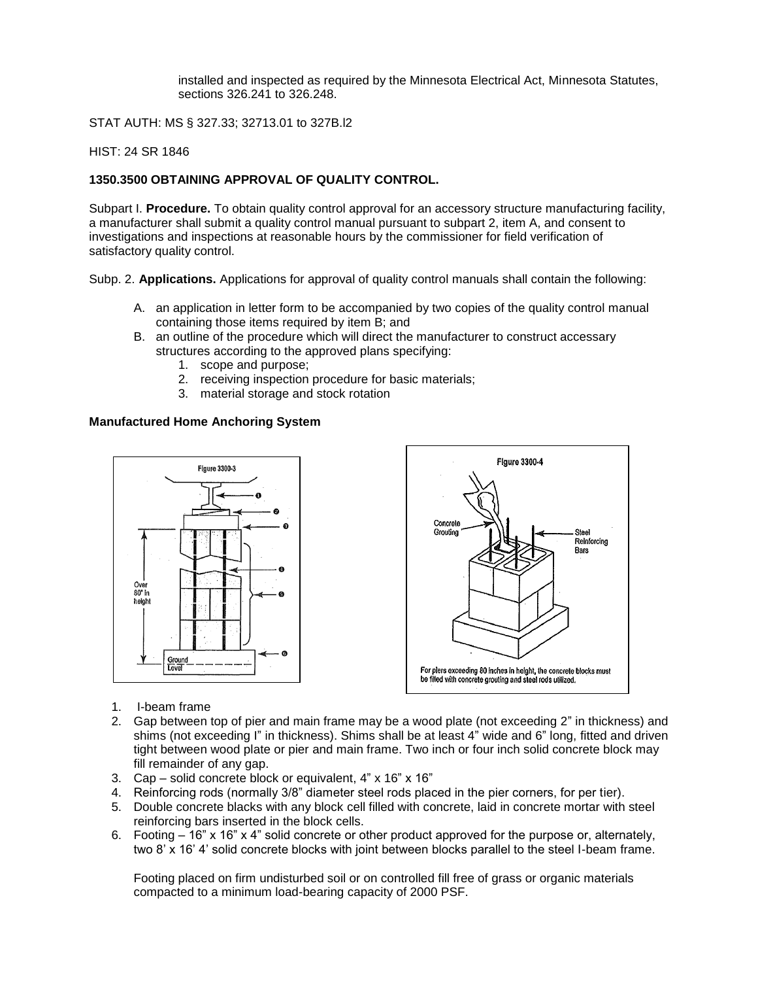installed and inspected as required by the Minnesota Electrical Act, Minnesota Statutes, sections 326.241 to 326.248.

STAT AUTH: MS § 327.33; 32713.01 to 327B.l2

HIST: 24 SR 1846

#### **1350.3500 OBTAINING APPROVAL OF QUALITY CONTROL.**

Subpart I. **Procedure.** To obtain quality control approval for an accessory structure manufacturing facility, a manufacturer shall submit a quality control manual pursuant to subpart 2, item A, and consent to investigations and inspections at reasonable hours by the commissioner for field verification of satisfactory quality control.

Subp. 2. **Applications.** Applications for approval of quality control manuals shall contain the following:

- A. an application in letter form to be accompanied by two copies of the quality control manual containing those items required by item B; and
- B. an outline of the procedure which will direct the manufacturer to construct accessary structures according to the approved plans specifying:
	- 1. scope and purpose;
	- 2. receiving inspection procedure for basic materials;
	- 3. material storage and stock rotation

#### **Manufactured Home Anchoring System**



- 1. I-beam frame
- 2. Gap between top of pier and main frame may be a wood plate (not exceeding 2" in thickness) and shims (not exceeding I" in thickness). Shims shall be at least 4" wide and 6" long, fitted and driven tight between wood plate or pier and main frame. Two inch or four inch solid concrete block may fill remainder of any gap.
- 3. Cap solid concrete block or equivalent, 4" x 16" x 16"
- 4. Reinforcing rods (normally 3/8" diameter steel rods placed in the pier corners, for per tier).
- 5. Double concrete blacks with any block cell filled with concrete, laid in concrete mortar with steel reinforcing bars inserted in the block cells.
- 6. Footing 16" x 16" x 4" solid concrete or other product approved for the purpose or, alternately, two 8' x 16' 4' solid concrete blocks with joint between blocks parallel to the steel I-beam frame.

Footing placed on firm undisturbed soil or on controlled fill free of grass or organic materials compacted to a minimum load-bearing capacity of 2000 PSF.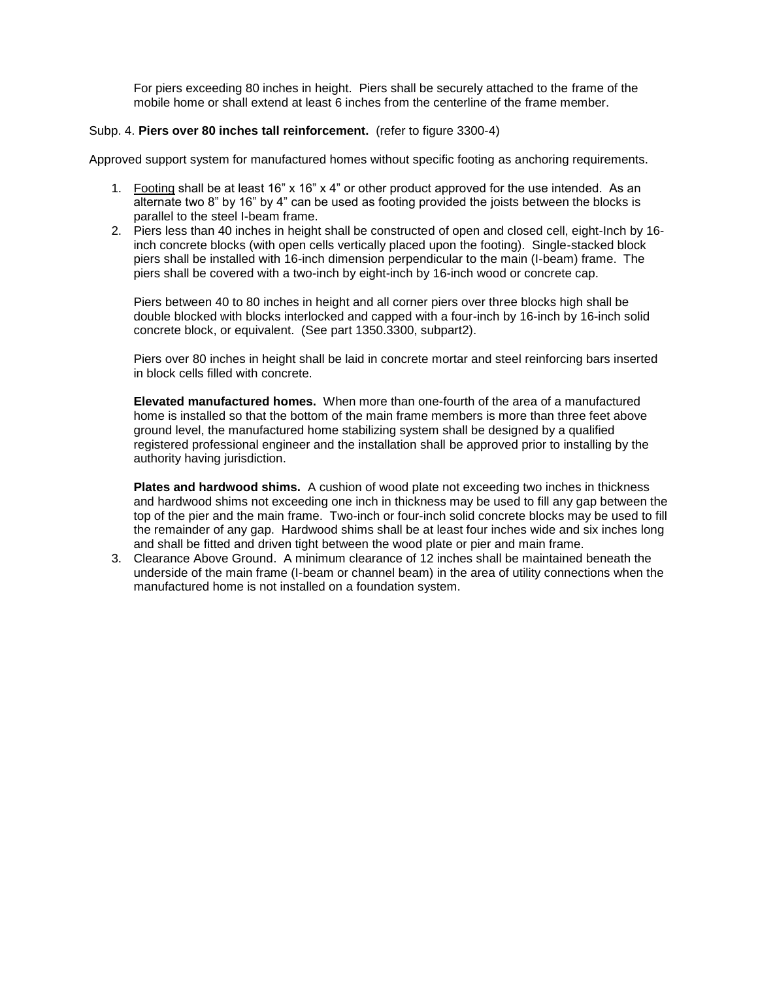For piers exceeding 80 inches in height. Piers shall be securely attached to the frame of the mobile home or shall extend at least 6 inches from the centerline of the frame member.

#### Subp. 4. **Piers over 80 inches tall reinforcement.** (refer to figure 3300-4)

Approved support system for manufactured homes without specific footing as anchoring requirements.

- 1. Footing shall be at least 16" x 16" x 4" or other product approved for the use intended. As an alternate two 8" by 16" by 4" can be used as footing provided the joists between the blocks is parallel to the steel I-beam frame.
- 2. Piers less than 40 inches in height shall be constructed of open and closed cell, eight-Inch by 16 inch concrete blocks (with open cells vertically placed upon the footing). Single-stacked block piers shall be installed with 16-inch dimension perpendicular to the main (I-beam) frame. The piers shall be covered with a two-inch by eight-inch by 16-inch wood or concrete cap.

Piers between 40 to 80 inches in height and all corner piers over three blocks high shall be double blocked with blocks interlocked and capped with a four-inch by 16-inch by 16-inch solid concrete block, or equivalent. (See part 1350.3300, subpart2).

Piers over 80 inches in height shall be laid in concrete mortar and steel reinforcing bars inserted in block cells filled with concrete.

**Elevated manufactured homes.** When more than one-fourth of the area of a manufactured home is installed so that the bottom of the main frame members is more than three feet above ground level, the manufactured home stabilizing system shall be designed by a qualified registered professional engineer and the installation shall be approved prior to installing by the authority having jurisdiction.

**Plates and hardwood shims.** A cushion of wood plate not exceeding two inches in thickness and hardwood shims not exceeding one inch in thickness may be used to fill any gap between the top of the pier and the main frame. Two-inch or four-inch solid concrete blocks may be used to fill the remainder of any gap. Hardwood shims shall be at least four inches wide and six inches long and shall be fitted and driven tight between the wood plate or pier and main frame.

3. Clearance Above Ground. A minimum clearance of 12 inches shall be maintained beneath the underside of the main frame (I-beam or channel beam) in the area of utility connections when the manufactured home is not installed on a foundation system.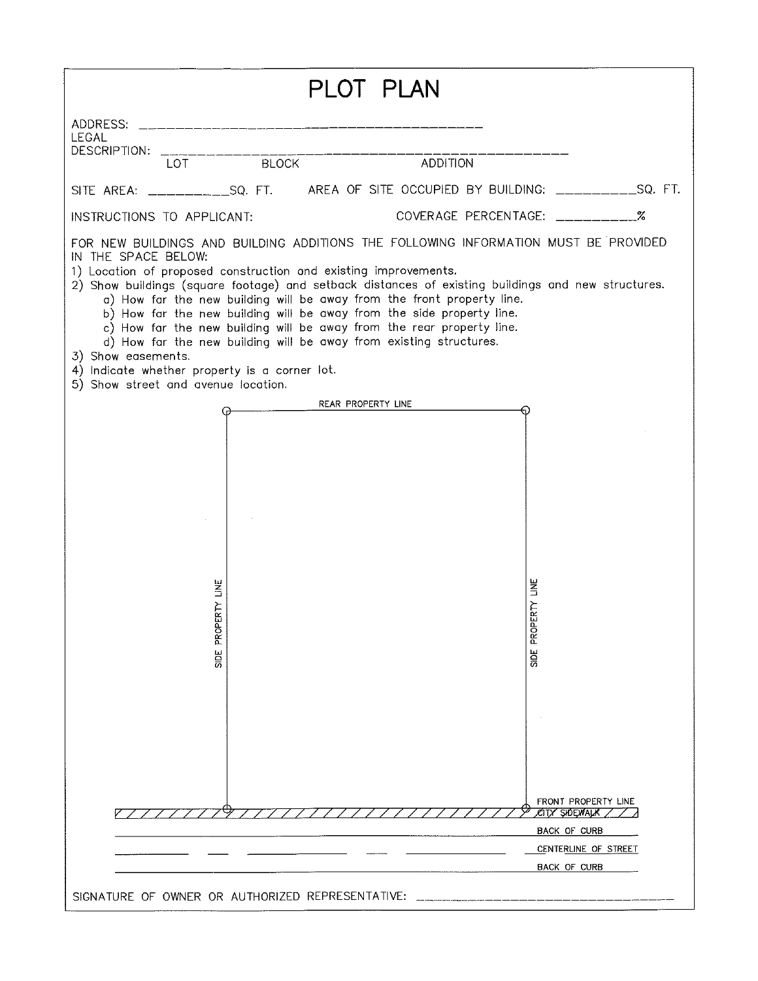| PLOT PLAN                                                                                                                                                                                                                                                                                                                                                                                                                                                                                                                                                                                                                                                                                           |                                                                                                     |  |  |
|-----------------------------------------------------------------------------------------------------------------------------------------------------------------------------------------------------------------------------------------------------------------------------------------------------------------------------------------------------------------------------------------------------------------------------------------------------------------------------------------------------------------------------------------------------------------------------------------------------------------------------------------------------------------------------------------------------|-----------------------------------------------------------------------------------------------------|--|--|
| ADDRESS: ___________________<br><b>LEGAL</b><br>DESCRIPTION:                                                                                                                                                                                                                                                                                                                                                                                                                                                                                                                                                                                                                                        |                                                                                                     |  |  |
| LOT BLOCK                                                                                                                                                                                                                                                                                                                                                                                                                                                                                                                                                                                                                                                                                           | <b>ADDITION</b>                                                                                     |  |  |
| SITE AREA: _____________SQ. FT. AREA OF SITE OCCUPIED BY BUILDING: ___________SQ. FT.                                                                                                                                                                                                                                                                                                                                                                                                                                                                                                                                                                                                               |                                                                                                     |  |  |
| INSTRUCTIONS TO APPLICANT:                                                                                                                                                                                                                                                                                                                                                                                                                                                                                                                                                                                                                                                                          | COVERAGE PERCENTAGE: ___________%                                                                   |  |  |
| FOR NEW BUILDINGS AND BUILDING ADDITIONS THE FOLLOWING INFORMATION MUST BE PROVIDED<br>IN THE SPACE BELOW:<br>1) Location of proposed construction and existing improvements.<br>2) Show buildings (square footage) and setback distances of existing buildings and new structures.<br>a) How far the new building will be away from the front property line.<br>b) How far the new building will be away from the side property line.<br>c) How far the new building will be away from the rear property line.<br>d) How far the new building will be away from existing structures.<br>3) Show easements.<br>4) Indicate whether property is a corner lot.<br>5) Show street and avenue location. |                                                                                                     |  |  |
| REAR PROPERTY LINE                                                                                                                                                                                                                                                                                                                                                                                                                                                                                                                                                                                                                                                                                  |                                                                                                     |  |  |
| RTY LINE<br>PROPE<br><b>SIDE</b>                                                                                                                                                                                                                                                                                                                                                                                                                                                                                                                                                                                                                                                                    | <b>RTY LINE</b><br>SIDE PROPE                                                                       |  |  |
|                                                                                                                                                                                                                                                                                                                                                                                                                                                                                                                                                                                                                                                                                                     | FRONT PROPERTY LINE<br>СІТУ ŞЮЕМАІ.К<br><b>BACK OF CURB</b><br>CENTERLINE OF STREET<br>BACK OF CURB |  |  |
| SIGNATURE OF OWNER OR AUTHORIZED REPRESENTATIVE:                                                                                                                                                                                                                                                                                                                                                                                                                                                                                                                                                                                                                                                    |                                                                                                     |  |  |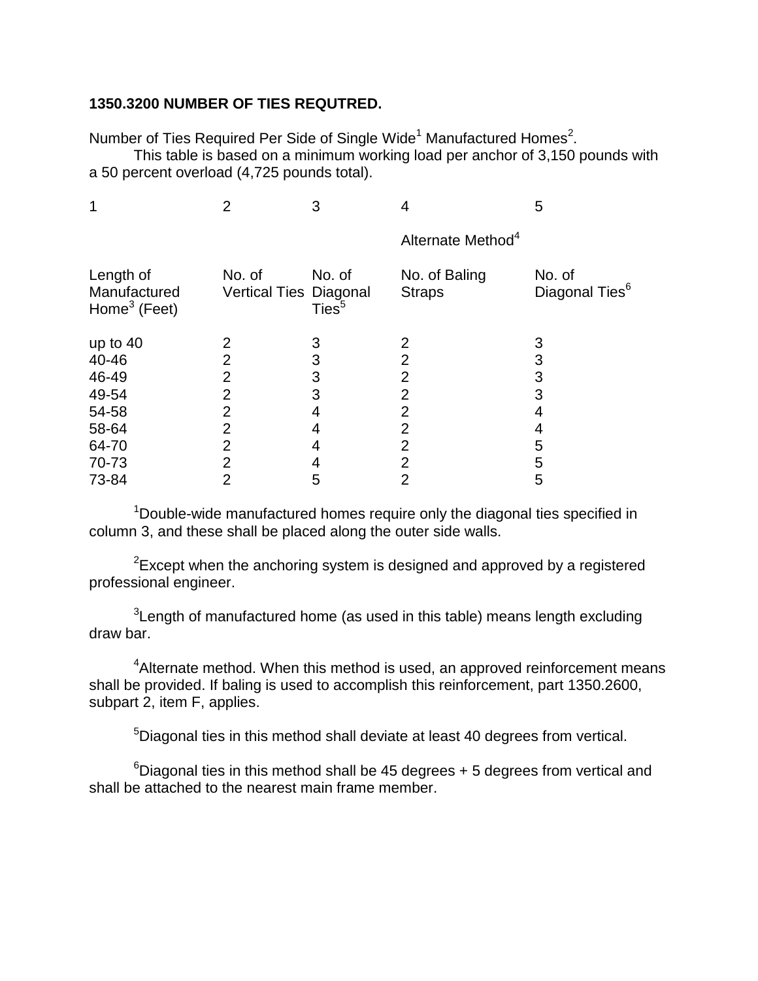#### **1350.3200 NUMBER OF TIES REQUTRED.**

Number of Ties Required Per Side of Single Wide<sup>1</sup> Manufactured Homes<sup>2</sup>.

This table is based on a minimum working load per anchor of 3,150 pounds with a 50 percent overload (4,725 pounds total).

| $\overline{2}$ | 3                           | 4                              | 5                                    |
|----------------|-----------------------------|--------------------------------|--------------------------------------|
|                |                             | Alternate Method <sup>4</sup>  |                                      |
| No. of         | No. of<br>Ties <sup>5</sup> | No. of Baling<br><b>Straps</b> | No. of<br>Diagonal Ties <sup>6</sup> |
| 2              | 3                           | 2                              | 3                                    |
| $\overline{2}$ | 3                           | 2                              | 3                                    |
| 2              | 3                           | 2                              | 3                                    |
| 2              | 3                           | 2                              | 3                                    |
| 2              | 4                           | 2                              | 4                                    |
| 2              | 4                           | 2                              | 4                                    |
| 2              | 4                           | 2                              | 5                                    |
| 2              |                             | $\overline{2}$                 | 5                                    |
| 2              | 5                           | 2                              | 5                                    |
|                |                             | <b>Vertical Ties Diagonal</b>  |                                      |

<sup>1</sup>Double-wide manufactured homes require only the diagonal ties specified in column 3, and these shall be placed along the outer side walls.

 $2E$ xcept when the anchoring system is designed and approved by a registered professional engineer.

 $3$ Length of manufactured home (as used in this table) means length excluding draw bar.

<sup>4</sup> Alternate method. When this method is used, an approved reinforcement means shall be provided. If baling is used to accomplish this reinforcement, part 1350.2600, subpart 2, item F, applies.

<sup>5</sup>Diagonal ties in this method shall deviate at least 40 degrees from vertical.

 $6$ Diagonal ties in this method shall be 45 degrees  $+5$  degrees from vertical and shall be attached to the nearest main frame member.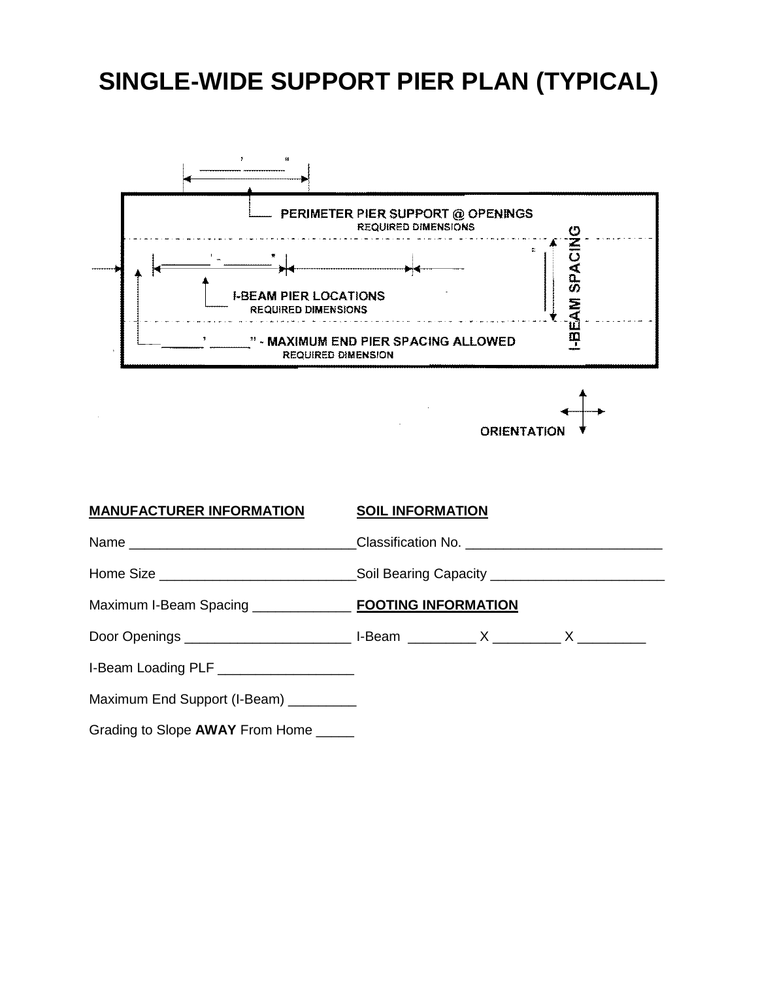#### **SINGLE-WIDE SUPPORT PIER PLAN (TYPICAL)**



**ORIENTATIOI** 

### **MANUFACTURER INFORMATION SOIL INFORMATION** Name \_\_\_\_\_\_\_\_\_\_\_\_\_\_\_\_\_\_\_\_\_\_\_\_\_\_\_\_\_\_Classification No. \_\_\_\_\_\_\_\_\_\_\_\_\_\_\_\_\_\_\_\_\_\_\_\_\_\_ Home Size \_\_\_\_\_\_\_\_\_\_\_\_\_\_\_\_\_\_\_\_\_\_\_\_\_\_\_\_\_\_\_\_\_Soil Bearing Capacity \_\_\_\_\_\_\_\_\_\_\_\_\_\_\_ Maximum I-Beam Spacing \_\_\_\_\_\_\_\_\_\_\_\_\_ **FOOTING INFORMATION** Door Openings The Contract of the U-Beam Theory X and X and X and X and X and X and X and X and X and X and X  $\alpha$ I-Beam Loading PLF \_\_\_\_\_\_\_\_\_\_\_\_\_\_\_\_\_\_\_\_\_ Maximum End Support (I-Beam) \_\_\_\_\_\_\_\_\_ Grading to Slope **AWAY** From Home \_\_\_\_\_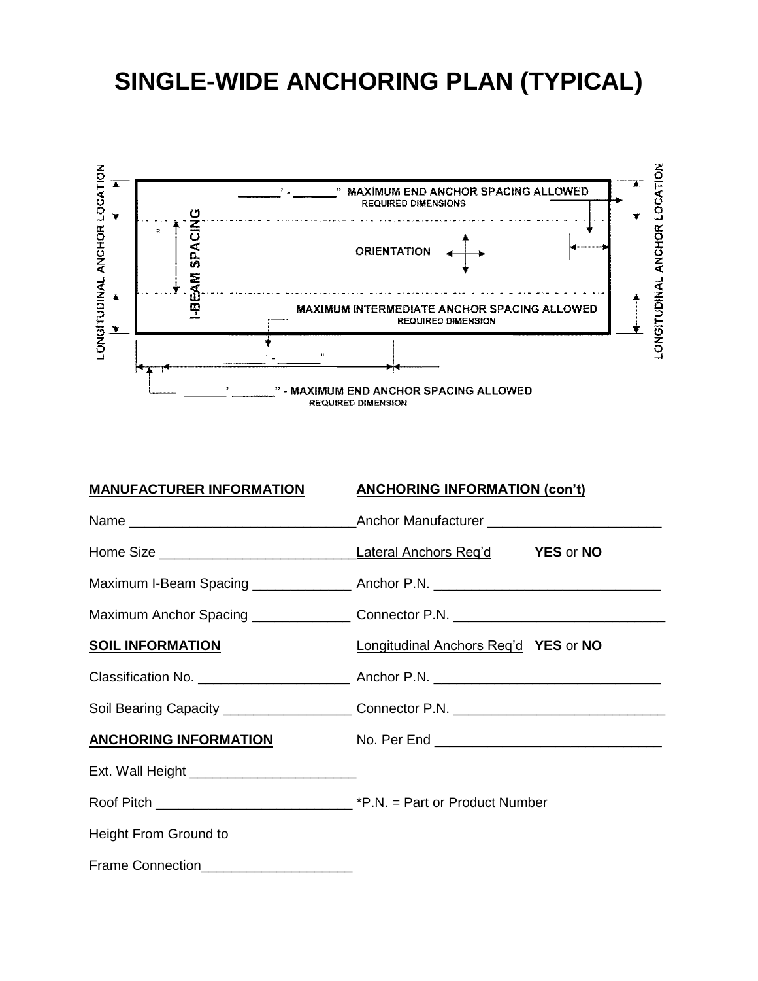### **SINGLE-WIDE ANCHORING PLAN (TYPICAL)**



| <u>MANUFACTURER INFORMATION</u> | <b>ANCHORING INFORMATION (con't)</b>                                              |
|---------------------------------|-----------------------------------------------------------------------------------|
|                                 |                                                                                   |
|                                 |                                                                                   |
|                                 | Maximum I-Beam Spacing _________________ Anchor P.N. ____________________________ |
|                                 | Maximum Anchor Spacing __________________ Connector P.N. ________________________ |
| <b>SOIL INFORMATION</b>         | Longitudinal Anchors Reg'd YES or NO                                              |
|                                 |                                                                                   |
|                                 |                                                                                   |
|                                 |                                                                                   |
|                                 |                                                                                   |
|                                 |                                                                                   |
| Height From Ground to           |                                                                                   |
| Frame Connection                |                                                                                   |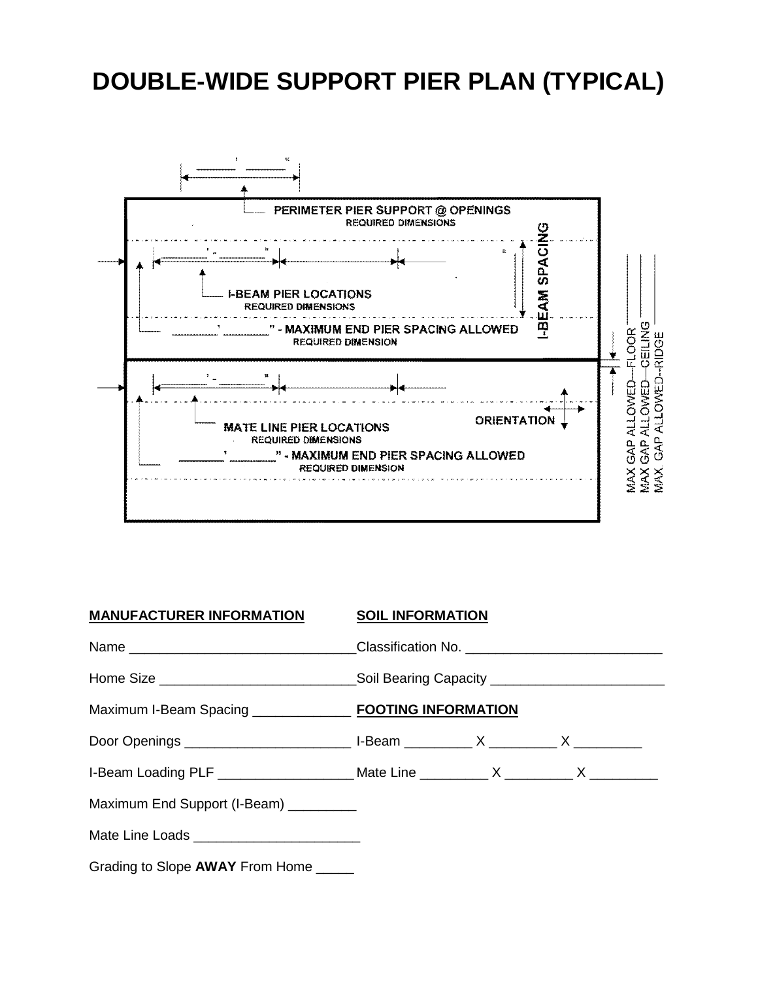## **DOUBLE-WIDE SUPPORT PIER PLAN (TYPICAL)**



| MANUFACTURER INFORMATION SOIL INFORMATION |                                                                                        |
|-------------------------------------------|----------------------------------------------------------------------------------------|
|                                           | Name ________________________________Classification No. ________________________       |
|                                           | Home Size _______________________________Soil Bearing Capacity __________________      |
|                                           |                                                                                        |
|                                           |                                                                                        |
|                                           | I-Beam Loading PLF _____________________Mate Line ___________ X _________ X __________ |
| Maximum End Support (I-Beam) _________    |                                                                                        |
|                                           |                                                                                        |
| Grading to Slope AWAY From Home _____     |                                                                                        |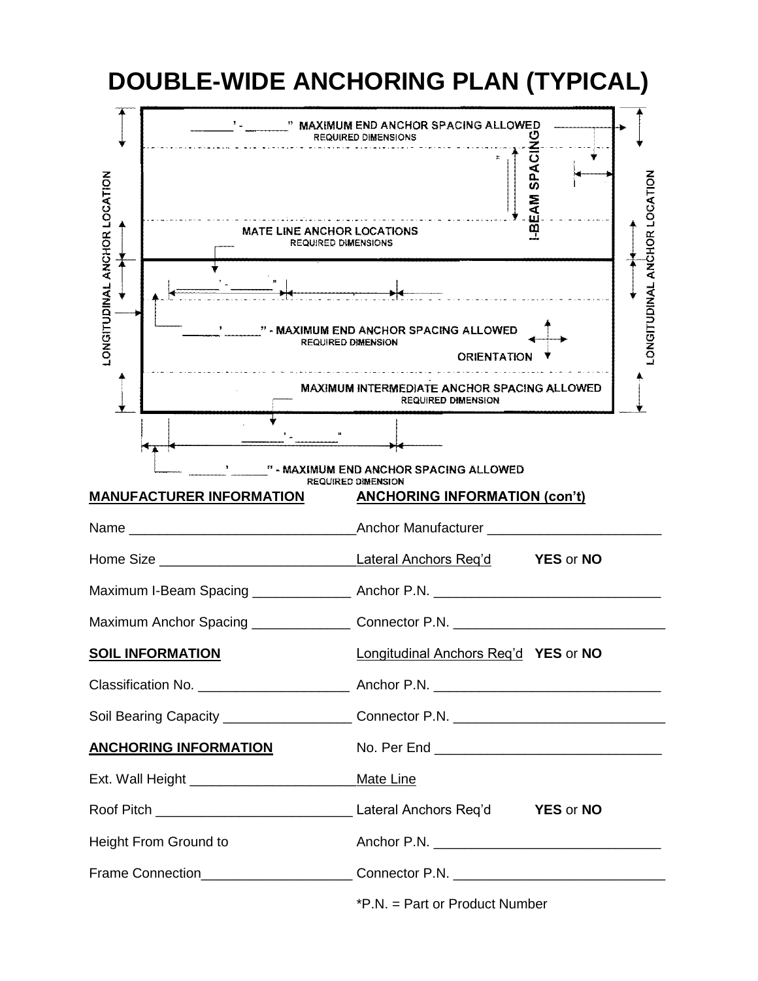![](_page_8_Figure_0.jpeg)

\*P.N. = Part or Product Number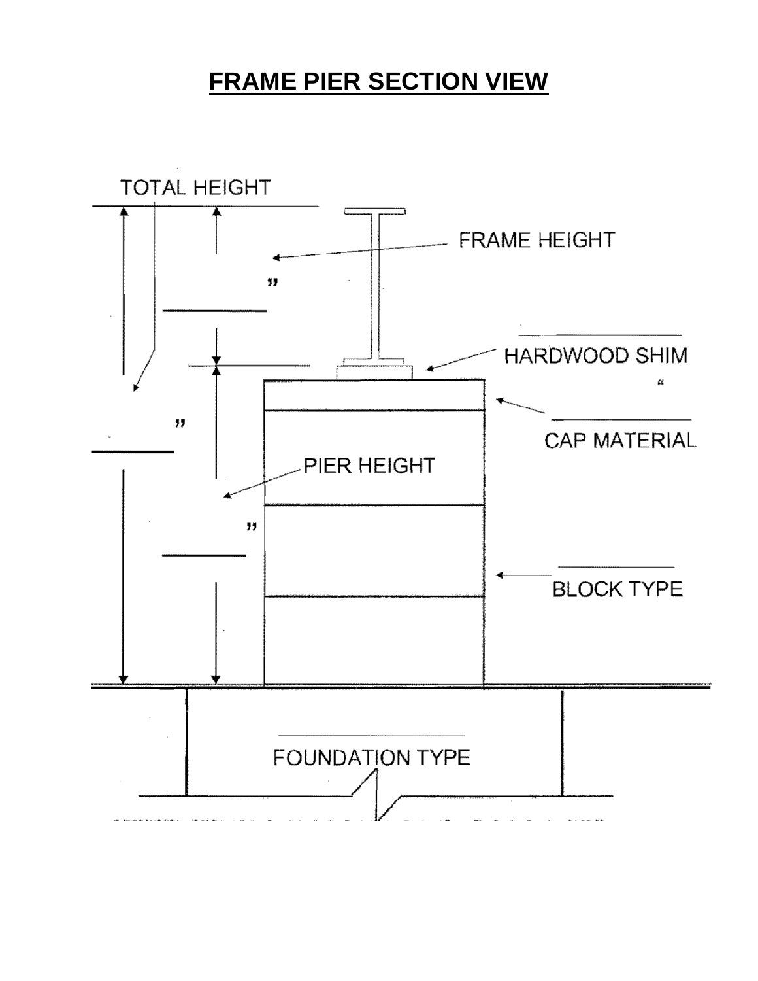#### **FRAME PIER SECTION VIEW**

![](_page_9_Figure_1.jpeg)